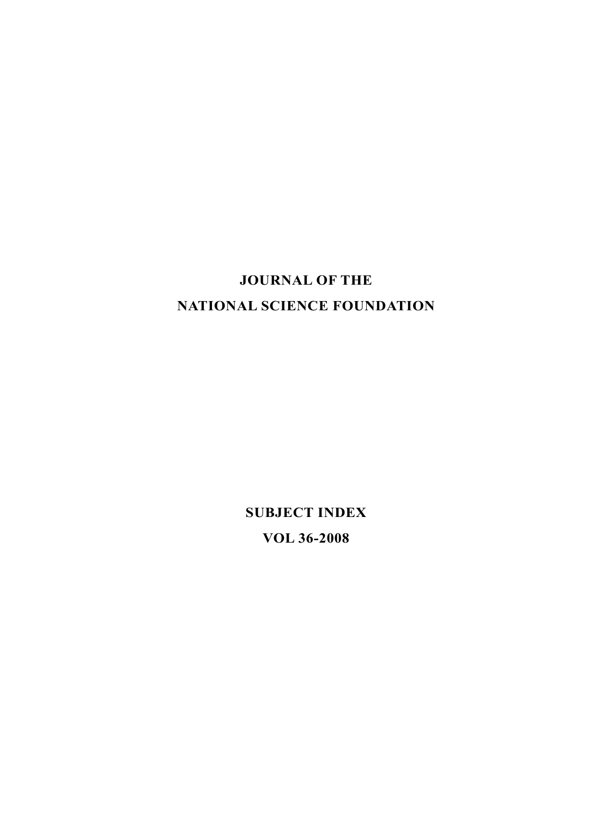# **JOURNAL OF THE NATIONAL SCIENCE FOUNDATION**

**SUBJECT INDEX VOL 36-2008**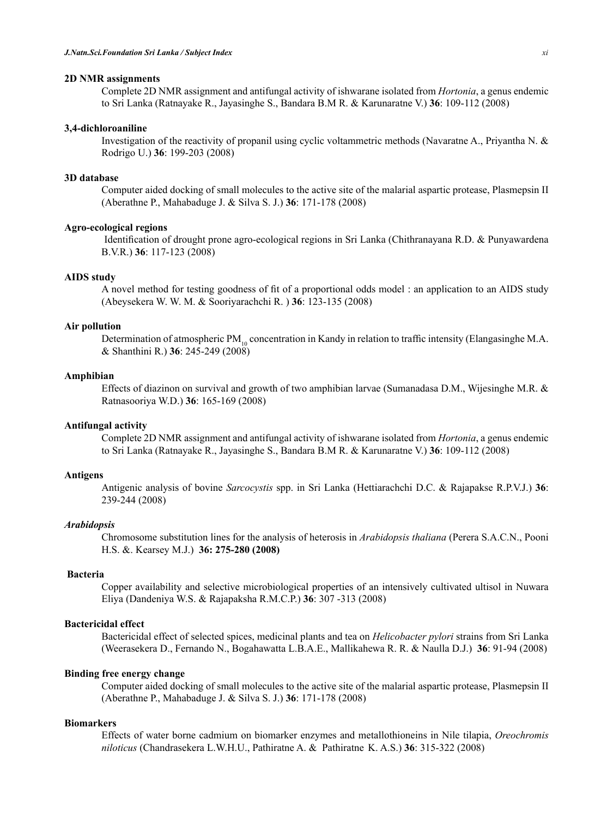#### **2D NMR assignments**

Complete 2D NMR assignment and antifungal activity of ishwarane isolated from *Hortonia*, a genus endemic to Sri Lanka (Ratnayake R., Jayasinghe S., Bandara B.M R. & Karunaratne V.) **36**: 109-112 (2008)

#### **3,4-dichloroaniline**

Investigation of the reactivity of propanil using cyclic voltammetric methods (Navaratne A., Priyantha N. & Rodrigo U.) **36**: 199-203 (2008)

#### **3D database**

Computer aided docking of small molecules to the active site of the malarial aspartic protease, Plasmepsin II (Aberathne P., Mahabaduge J. & Silva S. J.) **36**: 171-178 (2008)

# **Agro-ecological regions**

Identification of drought prone agro-ecological regions in Sri Lanka (Chithranayana R.D. & Punyawardena B.V.R.) **36**: 117-123 (2008)

#### **AIDS study**

A novel method for testing goodness of fit of a proportional odds model : an application to an AIDS study (Abeysekera W. W. M. & Sooriyarachchi R. ) **36**: 123-135 (2008)

#### **Air pollution**

Determination of atmospheric  $PM_{10}$  concentration in Kandy in relation to traffic intensity (Elangasinghe M.A. & Shanthini R.) **36**: 245-249 (2008)

## **Amphibian**

Effects of diazinon on survival and growth of two amphibian larvae (Sumanadasa D.M., Wijesinghe M.R. & Ratnasooriya W.D.) **36**: 165-169 (2008)

# **Antifungal activity**

Complete 2D NMR assignment and antifungal activity of ishwarane isolated from *Hortonia*, a genus endemic to Sri Lanka (Ratnayake R., Jayasinghe S., Bandara B.M R. & Karunaratne V.) **36**: 109-112 (2008)

## **Antigens**

Antigenic analysis of bovine *Sarcocystis* spp. in Sri Lanka (Hettiarachchi D.C. & Rajapakse R.P.V.J.) **36**: 239-244 (2008)

#### *Arabidopsis*

Chromosome substitution lines for the analysis of heterosis in *Arabidopsis thaliana* (Perera S.A.C.N., Pooni H.S. &. Kearsey M.J.) **36: 275-280 (2008)**

# **Bacteria**

Copper availability and selective microbiological properties of an intensively cultivated ultisol in Nuwara Eliya (Dandeniya W.S. & Rajapaksha R.M.C.P.) **36**: 307 -313 (2008)

#### **Bactericidal effect**

Bactericidal effect of selected spices, medicinal plants and tea on *Helicobacter pylori* strains from Sri Lanka (Weerasekera D., Fernando N., Bogahawatta L.B.A.E., Mallikahewa R. R. & Naulla D.J.) **36**: 91-94 (2008)

# **Binding free energy change**

Computer aided docking of small molecules to the active site of the malarial aspartic protease, Plasmepsin II (Aberathne P., Mahabaduge J. & Silva S. J.) **36**: 171-178 (2008)

# **Biomarkers**

Effects of water borne cadmium on biomarker enzymes and metallothioneins in Nile tilapia, *Oreochromis niloticus* (Chandrasekera L.W.H.U., Pathiratne A. & Pathiratne K. A.S.) **36**: 315-322 (2008)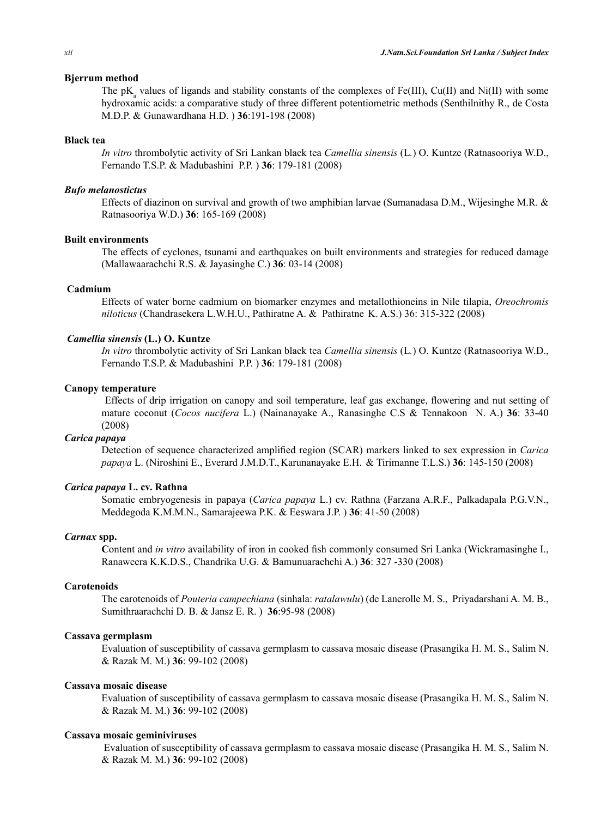## **Bjerrum method**

The  $pK_a$  values of ligands and stability constants of the complexes of Fe(III), Cu(II) and Ni(II) with some hydroxamic acids: a comparative study of three different potentiometric methods (Senthilnithy R., de Costa M.D.P. & Gunawardhana H.D. ) **36**:191-198 (2008)

#### **Black tea**

*In vitro* thrombolytic activity of Sri Lankan black tea *Camellia sinensis* (L*.*) O. Kuntze (Ratnasooriya W.D., Fernando T.S.P. & Madubashini P.P. ) **36**: 179-181 (2008)

#### *Bufo melanostictus*

Effects of diazinon on survival and growth of two amphibian larvae (Sumanadasa D.M., Wijesinghe M.R. & Ratnasooriya W.D.) **36**: 165-169 (2008)

## **Built environments**

The effects of cyclones, tsunami and earthquakes on built environments and strategies for reduced damage (Mallawaarachchi R.S. & Jayasinghe C.) **36**: 03-14 (2008)

# **Cadmium**

Effects of water borne cadmium on biomarker enzymes and metallothioneins in Nile tilapia, *Oreochromis niloticus* (Chandrasekera L.W.H.U., Pathiratne A. & Pathiratne K. A.S.) 36: 315-322 (2008)

## *Camellia sinensis* **(L.) O. Kuntze**

*In vitro* thrombolytic activity of Sri Lankan black tea *Camellia sinensis* (L*.*) O. Kuntze (Ratnasooriya W.D., Fernando T.S.P. & Madubashini P.P. ) **36**: 179-181 (2008)

#### **Canopy temperature**

Effects of drip irrigation on canopy and soil temperature, leaf gas exchange, flowering and nut setting of mature coconut (*Cocos nucifera* L.) (Nainanayake A., Ranasinghe C.S & Tennakoon N. A.) **36**: 33-40 (2008)

#### *Carica papaya*

Detection of sequence characterized amplified region (SCAR) markers linked to sex expression in *Carica papaya* L. (Niroshini E., Everard J.M.D.T., Karunanayake E.H. & Tirimanne T.L.S.) **36**: 145-150 (2008)

## *Carica papaya* **L. cv. Rathna**

Somatic embryogenesis in papaya (*Carica papaya* L.) cv. Rathna (Farzana A.R.F., Palkadapala P.G.V.N., Meddegoda K.M.M.N., Samarajeewa P.K. & Eeswara J.P. ) **36**: 41-50 (2008)

#### *Carnax* **spp.**

**C**ontent and *in vitro* availability of iron in cooked fish commonly consumed Sri Lanka (Wickramasinghe I., Ranaweera K.K.D.S., Chandrika U.G. & Bamunuarachchi A.) **36**: 327 -330 (2008)

#### **Carotenoids**

The carotenoids of *Pouteria campechiana* (sinhala: *ratalawulu*) (de Lanerolle M. S., Priyadarshani A. M. B., Sumithraarachchi D. B. & Jansz E. R. ) **36**:95-98 (2008)

## **Cassava germplasm**

Evaluation of susceptibility of cassava germplasm to cassava mosaic disease (Prasangika H. M. S., Salim N. & Razak M. M.) **36**: 99-102 (2008)

# **Cassava mosaic disease**

Evaluation of susceptibility of cassava germplasm to cassava mosaic disease (Prasangika H. M. S., Salim N. & Razak M. M.) **36**: 99-102 (2008)

#### **Cassava mosaic geminiviruses**

Evaluation of susceptibility of cassava germplasm to cassava mosaic disease (Prasangika H. M. S., Salim N. & Razak M. M.) **36**: 99-102 (2008)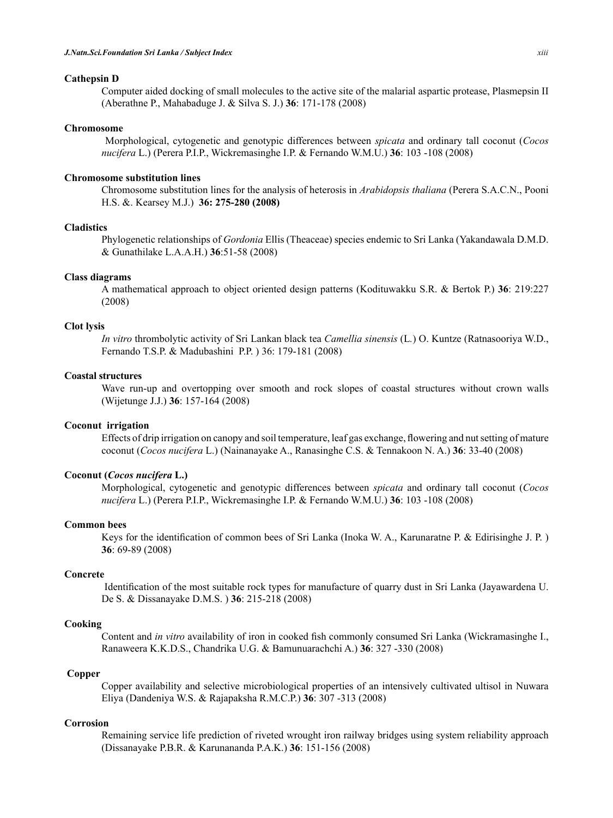# **Cathepsin D**

Computer aided docking of small molecules to the active site of the malarial aspartic protease, Plasmepsin II (Aberathne P., Mahabaduge J. & Silva S. J.) **36**: 171-178 (2008)

## **Chromosome**

Morphological, cytogenetic and genotypic differences between *spicata* and ordinary tall coconut (*Cocos nucifera* L.) (Perera P.I.P., Wickremasinghe I.P. & Fernando W.M.U.) **36**: 103 -108 (2008)

## **Chromosome substitution lines**

Chromosome substitution lines for the analysis of heterosis in *Arabidopsis thaliana* (Perera S.A.C.N., Pooni H.S. &. Kearsey M.J.) **36: 275-280 (2008)**

# **Cladistics**

Phylogenetic relationships of *Gordonia* Ellis (Theaceae) species endemic to Sri Lanka (Yakandawala D.M.D. & Gunathilake L.A.A.H.) **36**:51-58 (2008)

#### **Class diagrams**

A mathematical approach to object oriented design patterns (Kodituwakku S.R. & Bertok P.) **36**: 219:227 (2008)

#### **Clot lysis**

*In vitro* thrombolytic activity of Sri Lankan black tea *Camellia sinensis* (L*.*) O. Kuntze (Ratnasooriya W.D., Fernando T.S.P. & Madubashini P.P. ) 36: 179-181 (2008)

## **Coastal structures**

Wave run-up and overtopping over smooth and rock slopes of coastal structures without crown walls (Wijetunge J.J.) **36**: 157-164 (2008)

# **Coconut irrigation**

Effects of drip irrigation on canopy and soil temperature, leaf gas exchange, flowering and nutsetting of mature coconut (*Cocos nucifera* L.) (Nainanayake A., Ranasinghe C.S. & Tennakoon N. A.) **36**: 33-40 (2008)

# **Coconut (***Cocos nucifera* **L.)**

Morphological, cytogenetic and genotypic differences between *spicata* and ordinary tall coconut (*Cocos nucifera* L.) (Perera P.I.P., Wickremasinghe I.P. & Fernando W.M.U.) **36**: 103 -108 (2008)

#### **Common bees**

Keys for the identification of common bees of Sri Lanka (Inoka W. A., Karunaratne P. & Edirisinghe J. P. ) **36**: 69-89 (2008)

## **Concrete**

Identification of the most suitable rock types for manufacture of quarry dust in Sri Lanka (Jayawardena U. De S. & Dissanayake D.M.S. ) **36**: 215-218 (2008)

## **Cooking**

Content and *in vitro* availability of iron in cooked fish commonly consumed Sri Lanka (Wickramasinghe I., Ranaweera K.K.D.S., Chandrika U.G. & Bamunuarachchi A.) **36**: 327 -330 (2008)

#### **Copper**

Copper availability and selective microbiological properties of an intensively cultivated ultisol in Nuwara Eliya (Dandeniya W.S. & Rajapaksha R.M.C.P.) **36**: 307 -313 (2008)

# **Corrosion**

Remaining service life prediction of riveted wrought iron railway bridges using system reliability approach (Dissanayake P.B.R. & Karunananda P.A.K.) **36**: 151-156 (2008)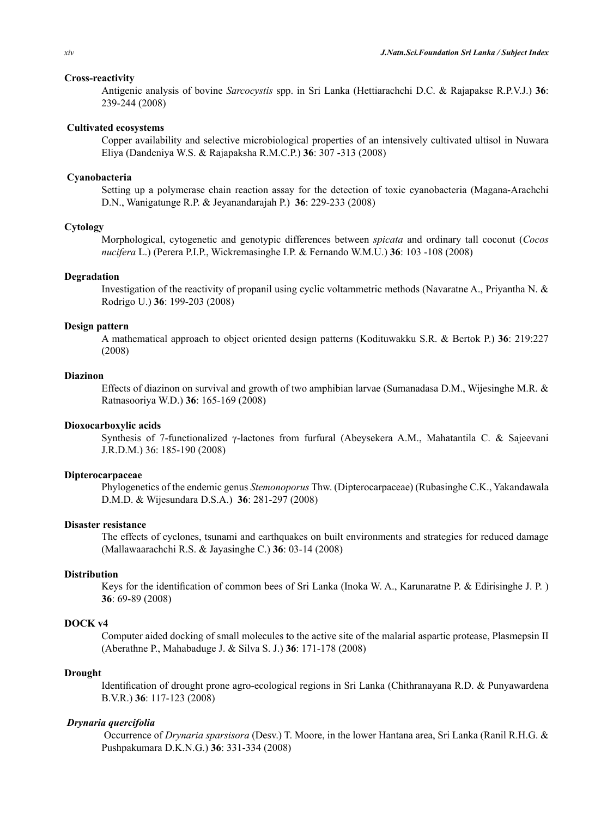### **Cross-reactivity**

Antigenic analysis of bovine *Sarcocystis* spp. in Sri Lanka (Hettiarachchi D.C. & Rajapakse R.P.V.J.) **36**: 239-244 (2008)

## **Cultivated ecosystems**

Copper availability and selective microbiological properties of an intensively cultivated ultisol in Nuwara Eliya (Dandeniya W.S. & Rajapaksha R.M.C.P.) **36**: 307 -313 (2008)

## **Cyanobacteria**

Setting up a polymerase chain reaction assay for the detection of toxic cyanobacteria (Magana-Arachchi D.N., Wanigatunge R.P. & Jeyanandarajah P.) **36**: 229-233 (2008)

## **Cytology**

Morphological, cytogenetic and genotypic differences between *spicata* and ordinary tall coconut (*Cocos nucifera* L.) (Perera P.I.P., Wickremasinghe I.P. & Fernando W.M.U.) **36**: 103 -108 (2008)

#### **Degradation**

Investigation of the reactivity of propanil using cyclic voltammetric methods (Navaratne A., Priyantha N. & Rodrigo U.) **36**: 199-203 (2008)

#### **Design pattern**

A mathematical approach to object oriented design patterns (Kodituwakku S.R. & Bertok P.) **36**: 219:227 (2008)

## **Diazinon**

Effects of diazinon on survival and growth of two amphibian larvae (Sumanadasa D.M., Wijesinghe M.R. & Ratnasooriya W.D.) **36**: 165-169 (2008)

# **Dioxocarboxylic acids**

Synthesis of 7-functionalized γ-lactones from furfural (Abeysekera A.M., Mahatantila C. & Sajeevani J.R.D.M.) 36: 185-190 (2008)

## **Dipterocarpaceae**

Phylogenetics of the endemic genus *Stemonoporus* Thw. (Dipterocarpaceae) (Rubasinghe C.K., Yakandawala D.M.D. & Wijesundara D.S.A.) **36**: 281-297 (2008)

#### **Disaster resistance**

The effects of cyclones, tsunami and earthquakes on built environments and strategies for reduced damage (Mallawaarachchi R.S. & Jayasinghe C.) **36**: 03-14 (2008)

# **Distribution**

Keys for the identification of common bees of Sri Lanka (Inoka W. A., Karunaratne P. & Edirisinghe J. P. ) **36**: 69-89 (2008)

## **DOCK v4**

Computer aided docking of small molecules to the active site of the malarial aspartic protease, Plasmepsin II (Aberathne P., Mahabaduge J. & Silva S. J.) **36**: 171-178 (2008)

#### **Drought**

Identification of drought prone agro-ecological regions in Sri Lanka (Chithranayana R.D. & Punyawardena B.V.R.) **36**: 117-123 (2008)

# *Drynaria quercifolia*

Occurrence of *Drynaria sparsisora* (Desv.) T. Moore, in the lower Hantana area, Sri Lanka (Ranil R.H.G. & Pushpakumara D.K.N.G.) **36**: 331-334 (2008)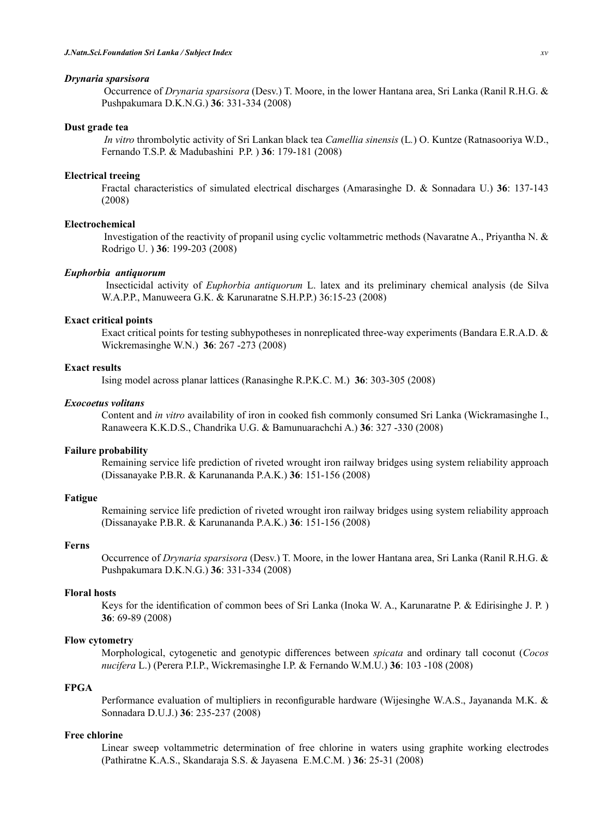#### *Drynaria sparsisora*

Occurrence of *Drynaria sparsisora* (Desv.) T. Moore, in the lower Hantana area, Sri Lanka (Ranil R.H.G. & Pushpakumara D.K.N.G.) **36**: 331-334 (2008)

#### **Dust grade tea**

*In vitro* thrombolytic activity of Sri Lankan black tea *Camellia sinensis* (L*.*) O. Kuntze (Ratnasooriya W.D., Fernando T.S.P. & Madubashini P.P. ) **36**: 179-181 (2008)

## **Electrical treeing**

Fractal characteristics of simulated electrical discharges (Amarasinghe D. & Sonnadara U.) **36**: 137-143 (2008)

# **Electrochemical**

Investigation of the reactivity of propanil using cyclic voltammetric methods (Navaratne A., Priyantha N. & Rodrigo U. ) **36**: 199-203 (2008)

# *Euphorbia antiquorum*

Insecticidal activity of *Euphorbia antiquorum* L. latex and its preliminary chemical analysis (de Silva W.A.P.P., Manuweera G.K. & Karunaratne S.H.P.P.) 36:15-23 (2008)

# **Exact critical points**

Exact critical points for testing subhypotheses in nonreplicated three-way experiments (Bandara E.R.A.D. & Wickremasinghe W.N.) **36**: 267 -273 (2008)

## **Exact results**

Ising model across planar lattices (Ranasinghe R.P.K.C. M.) **36**: 303-305 (2008)

#### *Exocoetus volitans*

Content and *in vitro* availability of iron in cooked fish commonly consumed Sri Lanka (Wickramasinghe I., Ranaweera K.K.D.S., Chandrika U.G. & Bamunuarachchi A.) **36**: 327 -330 (2008)

#### **Failure probability**

Remaining service life prediction of riveted wrought iron railway bridges using system reliability approach (Dissanayake P.B.R. & Karunananda P.A.K.) **36**: 151-156 (2008)

#### **Fatigue**

Remaining service life prediction of riveted wrought iron railway bridges using system reliability approach (Dissanayake P.B.R. & Karunananda P.A.K.) **36**: 151-156 (2008)

# **Ferns**

Occurrence of *Drynaria sparsisora* (Desv.) T. Moore, in the lower Hantana area, Sri Lanka (Ranil R.H.G. & Pushpakumara D.K.N.G.) **36**: 331-334 (2008)

# **Floral hosts**

Keys for the identification of common bees of Sri Lanka (Inoka W. A., Karunaratne P. & Edirisinghe J. P. ) **36**: 69-89 (2008)

# **Flow cytometry**

Morphological, cytogenetic and genotypic differences between *spicata* and ordinary tall coconut (*Cocos nucifera* L.) (Perera P.I.P., Wickremasinghe I.P. & Fernando W.M.U.) **36**: 103 -108 (2008)

# **FPGA**

Performance evaluation of multipliers in reconfigurable hardware (Wijesinghe W.A.S., Jayananda M.K. & Sonnadara D.U.J.) **36**: 235-237 (2008)

#### **Free chlorine**

Linear sweep voltammetric determination of free chlorine in waters using graphite working electrodes (Pathiratne K.A.S., Skandaraja S.S. & Jayasena E.M.C.M. ) **36**: 25-31 (2008)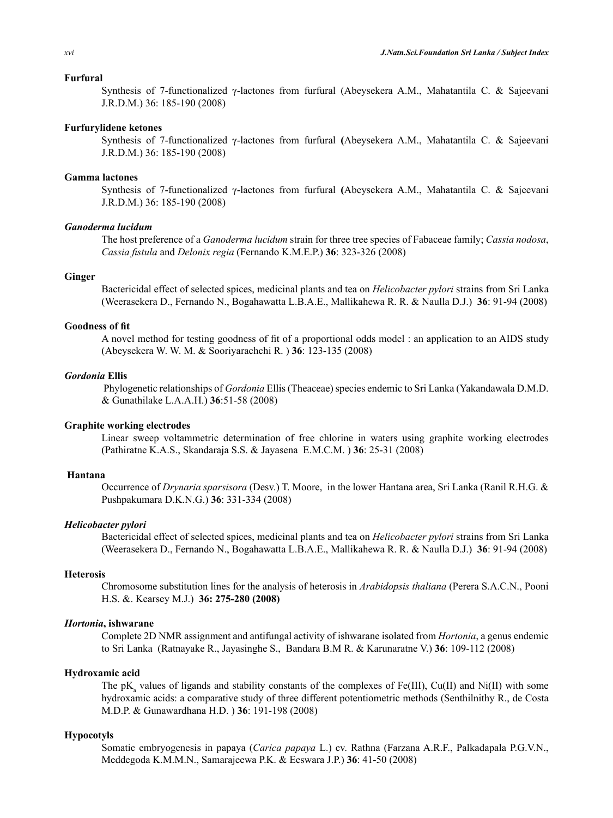#### **Furfural**

Synthesis of 7-functionalized γ-lactones from furfural (Abeysekera A.M., Mahatantila C. & Sajeevani J.R.D.M.) 36: 185-190 (2008)

#### **Furfurylidene ketones**

Synthesis of 7-functionalized γ-lactones from furfural **(**Abeysekera A.M., Mahatantila C. & Sajeevani J.R.D.M.) 36: 185-190 (2008)

## **Gamma lactones**

Synthesis of 7-functionalized γ-lactones from furfural **(**Abeysekera A.M., Mahatantila C. & Sajeevani J.R.D.M.) 36: 185-190 (2008)

# *Ganoderma lucidum*

The host preference of a *Ganoderma lucidum* strain for three tree species of Fabaceae family; *Cassia nodosa*, *Cassia fistula* and *Delonix regia* (Fernando K.M.E.P.) **36**: 323-326 (2008)

## **Ginger**

Bactericidal effect of selected spices, medicinal plants and tea on *Helicobacter pylori* strains from Sri Lanka (Weerasekera D., Fernando N., Bogahawatta L.B.A.E., Mallikahewa R. R. & Naulla D.J.) **36**: 91-94 (2008)

#### **Goodness of fit**

A novel method for testing goodness of fit of a proportional odds model : an application to an AIDS study (Abeysekera W. W. M. & Sooriyarachchi R. ) **36**: 123-135 (2008)

#### *Gordonia* **Ellis**

Phylogenetic relationships of *Gordonia* Ellis (Theaceae) species endemic to Sri Lanka (Yakandawala D.M.D. & Gunathilake L.A.A.H.) **36**:51-58 (2008)

# **Graphite working electrodes**

Linear sweep voltammetric determination of free chlorine in waters using graphite working electrodes (Pathiratne K.A.S., Skandaraja S.S. & Jayasena E.M.C.M. ) **36**: 25-31 (2008)

# **Hantana**

Occurrence of *Drynaria sparsisora* (Desv.) T. Moore, in the lower Hantana area, Sri Lanka (Ranil R.H.G. & Pushpakumara D.K.N.G.) **36**: 331-334 (2008)

## *Helicobacter pylori*

Bactericidal effect of selected spices, medicinal plants and tea on *Helicobacter pylori* strains from Sri Lanka (Weerasekera D., Fernando N., Bogahawatta L.B.A.E., Mallikahewa R. R. & Naulla D.J.) **36**: 91-94 (2008)

# **Heterosis**

Chromosome substitution lines for the analysis of heterosis in *Arabidopsis thaliana* (Perera S.A.C.N., Pooni H.S. &. Kearsey M.J.) **36: 275-280 (2008)**

#### *Hortonia***, ishwarane**

Complete 2D NMR assignment and antifungal activity of ishwarane isolated from *Hortonia*, a genus endemic to Sri Lanka (Ratnayake R., Jayasinghe S., Bandara B.M R. & Karunaratne V.) **36**: 109-112 (2008)

#### **Hydroxamic acid**

The  $pK_a$  values of ligands and stability constants of the complexes of Fe(III), Cu(II) and Ni(II) with some hydroxamic acids: a comparative study of three different potentiometric methods (Senthilnithy R., de Costa M.D.P. & Gunawardhana H.D. ) **36**: 191-198 (2008)

#### **Hypocotyls**

Somatic embryogenesis in papaya (*Carica papaya* L.) cv. Rathna (Farzana A.R.F., Palkadapala P.G.V.N., Meddegoda K.M.M.N., Samarajeewa P.K. & Eeswara J.P.) **36**: 41-50 (2008)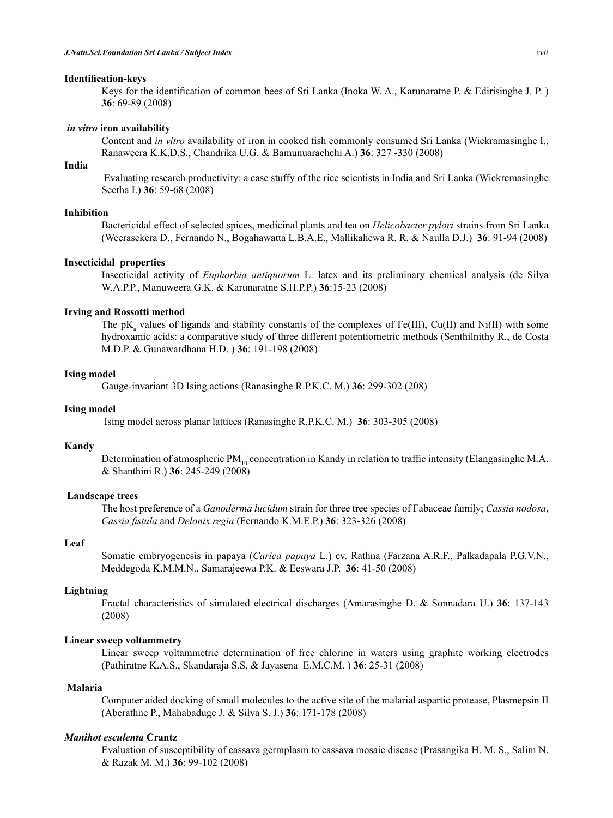#### **Identification-keys**

Keys for the identification of common bees of Sri Lanka (Inoka W. A., Karunaratne P. & Edirisinghe J. P. ) **36**: 69-89 (2008)

#### *in vitro* **iron availability**

Content and *in vitro* availability of iron in cooked fish commonly consumed Sri Lanka (Wickramasinghe I., Ranaweera K.K.D.S., Chandrika U.G. & Bamunuarachchi A.) **36**: 327 -330 (2008)

# **India**

Evaluating research productivity: a case stuffy of the rice scientists in India and Sri Lanka (Wickremasinghe Seetha I.) **36**: 59-68 (2008)

#### **Inhibition**

Bactericidal effect of selected spices, medicinal plants and tea on *Helicobacter pylori* strains from Sri Lanka (Weerasekera D., Fernando N., Bogahawatta L.B.A.E., Mallikahewa R. R. & Naulla D.J.) **36**: 91-94 (2008)

## **Insecticidal properties**

Insecticidal activity of *Euphorbia antiquorum* L. latex and its preliminary chemical analysis (de Silva W.A.P.P., Manuweera G.K. & Karunaratne S.H.P.P.) **36**:15-23 (2008)

## **Irving and Rossotti method**

The  $pK_a$  values of ligands and stability constants of the complexes of Fe(III), Cu(II) and Ni(II) with some hydroxamic acids: a comparative study of three different potentiometric methods (Senthilnithy R., de Costa M.D.P. & Gunawardhana H.D. ) **36**: 191-198 (2008)

#### **Ising model**

Gauge-invariant 3D Ising actions (Ranasinghe R.P.K.C. M.) **36**: 299-302 (208)

# **Ising model**

Ising model across planar lattices (Ranasinghe R.P.K.C. M.) **36**: 303-305 (2008)

#### **Kandy**

Determination of atmospheric PM<sub>10</sub> concentration in Kandy in relation to traffic intensity (Elangasinghe M.A. & Shanthini R.) **36**: 245-249 (2008)

#### **Landscape trees**

The host preference of a *Ganoderma lucidum* strain for three tree species of Fabaceae family; *Cassia nodosa*, *Cassia fistula* and *Delonix regia* (Fernando K.M.E.P.) **36**: 323-326 (2008)

#### **Leaf**

Somatic embryogenesis in papaya (*Carica papaya* L.) cv. Rathna (Farzana A.R.F., Palkadapala P.G.V.N., Meddegoda K.M.M.N., Samarajeewa P.K. & Eeswara J.P. **36**: 41-50 (2008)

## **Lightning**

Fractal characteristics of simulated electrical discharges (Amarasinghe D. & Sonnadara U.) **36**: 137-143 (2008)

## **Linear sweep voltammetry**

Linear sweep voltammetric determination of free chlorine in waters using graphite working electrodes (Pathiratne K.A.S., Skandaraja S.S. & Jayasena E.M.C.M. ) **36**: 25-31 (2008)

#### **Malaria**

Computer aided docking of small molecules to the active site of the malarial aspartic protease, Plasmepsin II (Aberathne P., Mahabaduge J. & Silva S. J.) **36**: 171-178 (2008)

#### *Manihot esculenta* **Crantz**

Evaluation of susceptibility of cassava germplasm to cassava mosaic disease (Prasangika H. M. S., Salim N. & Razak M. M.) **36**: 99-102 (2008)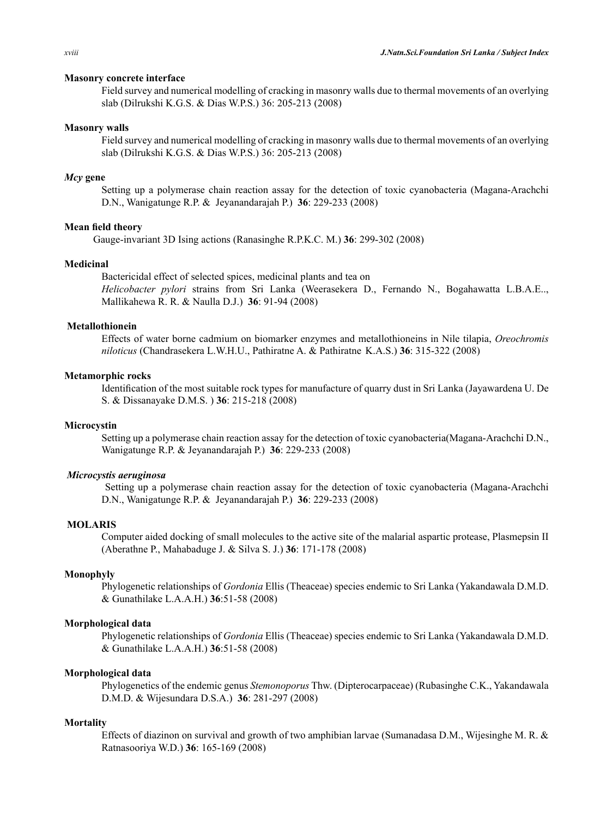#### **Masonry concrete interface**

Field survey and numerical modelling of cracking in masonry walls due to thermal movements of an overlying slab (Dilrukshi K.G.S. & Dias W.P.S.) 36: 205-213 (2008)

## **Masonry walls**

Field survey and numerical modelling of cracking in masonry walls due to thermal movements of an overlying slab (Dilrukshi K.G.S. & Dias W.P.S.) 36: 205-213 (2008)

## *Mcy* **gene**

Setting up a polymerase chain reaction assay for the detection of toxic cyanobacteria (Magana-Arachchi D.N., Wanigatunge R.P. & Jeyanandarajah P.) **36**: 229-233 (2008)

# **Mean field theory**

Gauge-invariant 3D Ising actions (Ranasinghe R.P.K.C. M.) **36**: 299-302 (2008)

## **Medicinal**

Bactericidal effect of selected spices, medicinal plants and tea on *Helicobacter pylori* strains from Sri Lanka (Weerasekera D., Fernando N., Bogahawatta L.B.A.E.., Mallikahewa R. R. & Naulla D.J.) **36**: 91-94 (2008)

## **Metallothionein**

Effects of water borne cadmium on biomarker enzymes and metallothioneins in Nile tilapia, *Oreochromis niloticus* (Chandrasekera L.W.H.U., Pathiratne A. & Pathiratne K.A.S.) **36**: 315-322 (2008)

## **Metamorphic rocks**

Identification of the most suitable rock types for manufacture of quarry dust in Sri Lanka (Jayawardena U. De S. & Dissanayake D.M.S. ) **36**: 215-218 (2008)

# **Microcystin**

Setting up a polymerase chain reaction assay for the detection of toxic cyanobacteria(Magana-Arachchi D.N., Wanigatunge R.P. & Jeyanandarajah P.) **36**: 229-233 (2008)

## *Microcystis aeruginosa*

Setting up a polymerase chain reaction assay for the detection of toxic cyanobacteria (Magana-Arachchi D.N., Wanigatunge R.P. & Jeyanandarajah P.) **36**: 229-233 (2008)

# **MOLARIS**

Computer aided docking of small molecules to the active site of the malarial aspartic protease, Plasmepsin II (Aberathne P., Mahabaduge J. & Silva S. J.) **36**: 171-178 (2008)

## **Monophyly**

Phylogenetic relationships of *Gordonia* Ellis (Theaceae) species endemic to Sri Lanka (Yakandawala D.M.D. & Gunathilake L.A.A.H.) **36**:51-58 (2008)

## **Morphological data**

Phylogenetic relationships of *Gordonia* Ellis (Theaceae) species endemic to Sri Lanka (Yakandawala D.M.D. & Gunathilake L.A.A.H.) **36**:51-58 (2008)

# **Morphological data**

Phylogenetics of the endemic genus *Stemonoporus* Thw. (Dipterocarpaceae) (Rubasinghe C.K., Yakandawala D.M.D. & Wijesundara D.S.A.) **36**: 281-297 (2008)

#### **Mortality**

Effects of diazinon on survival and growth of two amphibian larvae (Sumanadasa D.M., Wijesinghe M. R. & Ratnasooriya W.D.) **36**: 165-169 (2008)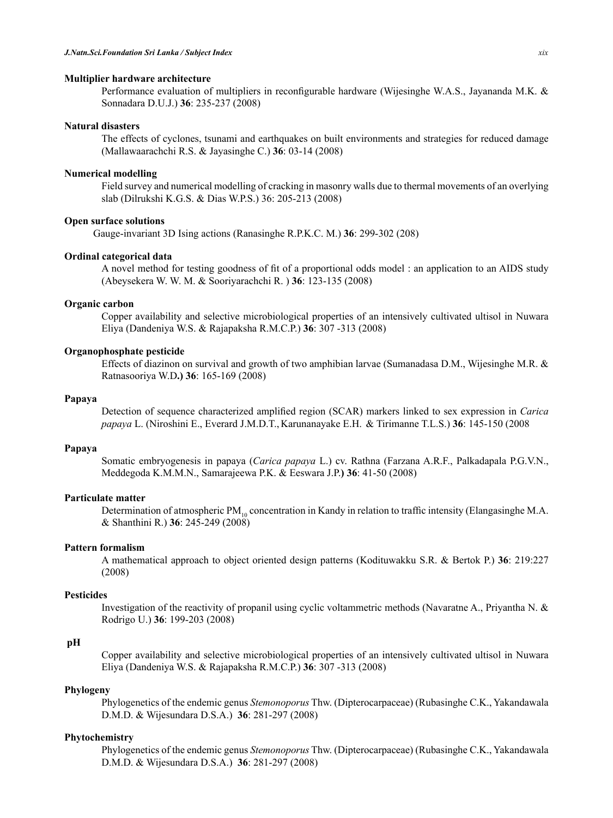#### **Multiplier hardware architecture**

Performance evaluation of multipliers in reconfigurable hardware (Wijesinghe W.A.S., Jayananda M.K. & Sonnadara D.U.J.) **36**: 235-237 (2008)

#### **Natural disasters**

The effects of cyclones, tsunami and earthquakes on built environments and strategies for reduced damage (Mallawaarachchi R.S. & Jayasinghe C.) **36**: 03-14 (2008)

#### **Numerical modelling**

Field survey and numerical modelling of cracking in masonry walls due to thermal movements of an overlying slab (Dilrukshi K.G.S. & Dias W.P.S.) 36: 205-213 (2008)

## **Open surface solutions**

Gauge-invariant 3D Ising actions (Ranasinghe R.P.K.C. M.) **36**: 299-302 (208)

## **Ordinal categorical data**

A novel method for testing goodness of fit of a proportional odds model : an application to an AIDS study (Abeysekera W. W. M. & Sooriyarachchi R. ) **36**: 123-135 (2008)

#### **Organic carbon**

Copper availability and selective microbiological properties of an intensively cultivated ultisol in Nuwara Eliya (Dandeniya W.S. & Rajapaksha R.M.C.P.) **36**: 307 -313 (2008)

## **Organophosphate pesticide**

Effects of diazinon on survival and growth of two amphibian larvae (Sumanadasa D.M., Wijesinghe M.R. & Ratnasooriya W.D**.) 36**: 165-169 (2008)

# **Papaya**

Detection of sequence characterized amplified region (SCAR) markers linked to sex expression in *Carica papaya* L. (Niroshini E., Everard J.M.D.T., Karunanayake E.H. & Tirimanne T.L.S.) **36**: 145-150 (2008

# **Papaya**

Somatic embryogenesis in papaya (*Carica papaya* L.) cv. Rathna (Farzana A.R.F., Palkadapala P.G.V.N., Meddegoda K.M.M.N., Samarajeewa P.K. & Eeswara J.P.**) 36**: 41-50 (2008)

#### **Particulate matter**

Determination of atmospheric PM<sub>10</sub> concentration in Kandy in relation to traffic intensity (Elangasinghe M.A. & Shanthini R.) **36**: 245-249 (2008)

# **Pattern formalism**

A mathematical approach to object oriented design patterns (Kodituwakku S.R. & Bertok P.) **36**: 219:227 (2008)

# **Pesticides**

Investigation of the reactivity of propanil using cyclic voltammetric methods (Navaratne A., Priyantha N. & Rodrigo U.) **36**: 199-203 (2008)

#### **pH**

Copper availability and selective microbiological properties of an intensively cultivated ultisol in Nuwara Eliya (Dandeniya W.S. & Rajapaksha R.M.C.P.) **36**: 307 -313 (2008)

## **Phylogeny**

Phylogenetics of the endemic genus *Stemonoporus* Thw. (Dipterocarpaceae) (Rubasinghe C.K., Yakandawala D.M.D. & Wijesundara D.S.A.) **36**: 281-297 (2008)

# **Phytochemistry**

Phylogenetics of the endemic genus *Stemonoporus* Thw. (Dipterocarpaceae) (Rubasinghe C.K., Yakandawala D.M.D. & Wijesundara D.S.A.) **36**: 281-297 (2008)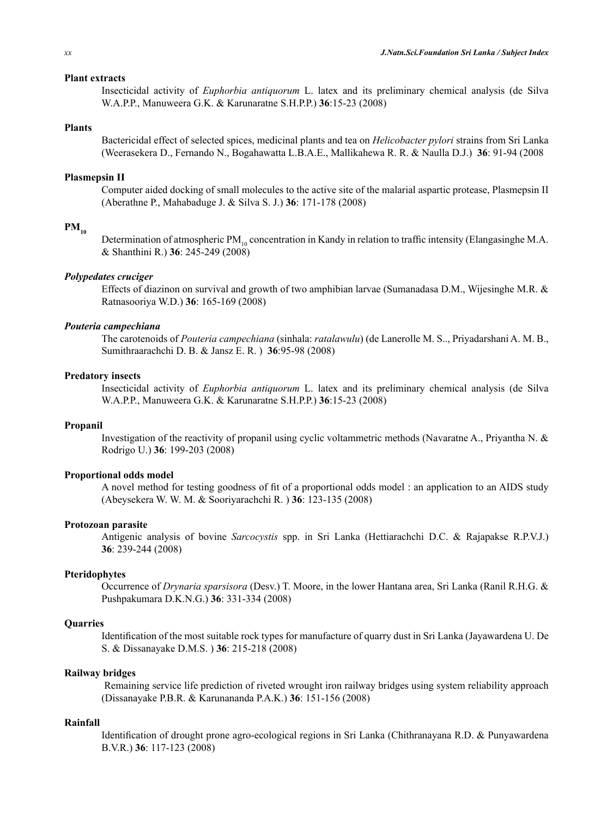## **Plant extracts**

Insecticidal activity of *Euphorbia antiquorum* L. latex and its preliminary chemical analysis (de Silva W.A.P.P., Manuweera G.K. & Karunaratne S.H.P.P.) **36**:15-23 (2008)

## **Plants**

Bactericidal effect of selected spices, medicinal plants and tea on *Helicobacter pylori* strains from Sri Lanka (Weerasekera D., Fernando N., Bogahawatta L.B.A.E., Mallikahewa R. R. & Naulla D.J.) **36**: 91-94 (2008

#### **Plasmepsin II**

Computer aided docking of small molecules to the active site of the malarial aspartic protease, Plasmepsin II (Aberathne P., Mahabaduge J. & Silva S. J.) **36**: 171-178 (2008)

# $PM_{10}$

Determination of atmospheric PM<sub>10</sub> concentration in Kandy in relation to traffic intensity (Elangasinghe M.A. & Shanthini R.) **36**: 245-249 (2008)

#### *Polypedates cruciger*

Effects of diazinon on survival and growth of two amphibian larvae (Sumanadasa D.M., Wijesinghe M.R. & Ratnasooriya W.D.) **36**: 165-169 (2008)

#### *Pouteria campechiana*

The carotenoids of *Pouteria campechiana* (sinhala: *ratalawulu*) (de Lanerolle M. S.., Priyadarshani A. M. B., Sumithraarachchi D. B. & Jansz E. R. ) **36**:95-98 (2008)

## **Predatory insects**

Insecticidal activity of *Euphorbia antiquorum* L. latex and its preliminary chemical analysis (de Silva W.A.P.P., Manuweera G.K. & Karunaratne S.H.P.P.) **36**:15-23 (2008)

# **Propanil**

Investigation of the reactivity of propanil using cyclic voltammetric methods (Navaratne A., Priyantha N. & Rodrigo U.) **36**: 199-203 (2008)

#### **Proportional odds model**

A novel method for testing goodness of fit of a proportional odds model : an application to an AIDS study (Abeysekera W. W. M. & Sooriyarachchi R. ) **36**: 123-135 (2008)

#### **Protozoan parasite**

Antigenic analysis of bovine *Sarcocystis* spp. in Sri Lanka (Hettiarachchi D.C. & Rajapakse R.P.V.J.) **36**: 239-244 (2008)

#### **Pteridophytes**

Occurrence of *Drynaria sparsisora* (Desv.) T. Moore, in the lower Hantana area, Sri Lanka (Ranil R.H.G. & Pushpakumara D.K.N.G.) **36**: 331-334 (2008)

## **Quarries**

Identification of the most suitable rock types for manufacture of quarry dust in Sri Lanka (Jayawardena U. De S. & Dissanayake D.M.S. ) **36**: 215-218 (2008)

#### **Railway bridges**

Remaining service life prediction of riveted wrought iron railway bridges using system reliability approach (Dissanayake P.B.R. & Karunananda P.A.K.) **36**: 151-156 (2008)

# **Rainfall**

Identification of drought prone agro-ecological regions in Sri Lanka (Chithranayana R.D. & Punyawardena B.V.R.) **36**: 117-123 (2008)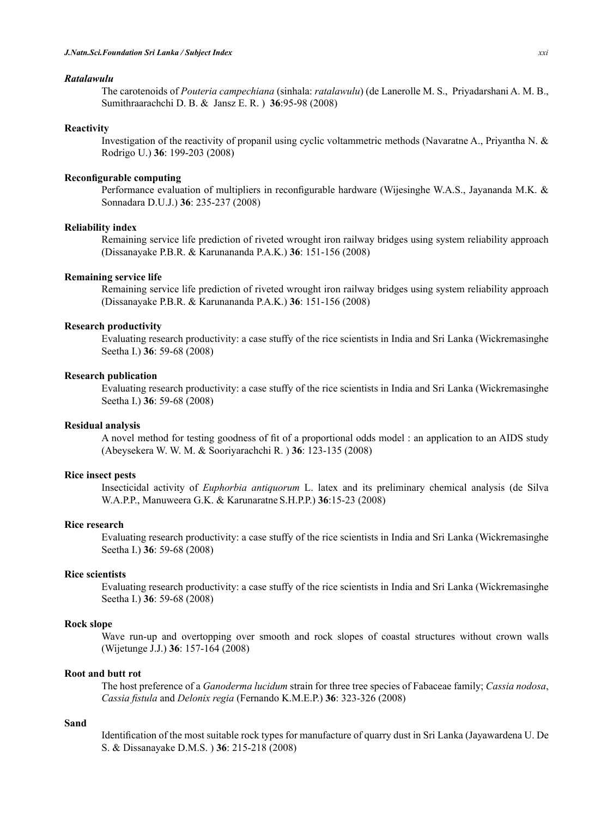## *Ratalawulu*

The carotenoids of *Pouteria campechiana* (sinhala: *ratalawulu*) (de Lanerolle M. S., Priyadarshani A. M. B., Sumithraarachchi D. B. & Jansz E. R. ) **36**:95-98 (2008)

## **Reactivity**

Investigation of the reactivity of propanil using cyclic voltammetric methods (Navaratne A., Priyantha N. & Rodrigo U.) **36**: 199-203 (2008)

## **Reconfigurable computing**

Performance evaluation of multipliers in reconfigurable hardware (Wijesinghe W.A.S., Jayananda M.K. & Sonnadara D.U.J.) **36**: 235-237 (2008)

# **Reliability index**

Remaining service life prediction of riveted wrought iron railway bridges using system reliability approach (Dissanayake P.B.R. & Karunananda P.A.K.) **36**: 151-156 (2008)

#### **Remaining service life**

Remaining service life prediction of riveted wrought iron railway bridges using system reliability approach (Dissanayake P.B.R. & Karunananda P.A.K.) **36**: 151-156 (2008)

#### **Research productivity**

Evaluating research productivity: a case stuffy of the rice scientists in India and Sri Lanka (Wickremasinghe Seetha I.) **36**: 59-68 (2008)

## **Research publication**

Evaluating research productivity: a case stuffy of the rice scientists in India and Sri Lanka (Wickremasinghe Seetha I.) **36**: 59-68 (2008)

# **Residual analysis**

A novel method for testing goodness of fit of a proportional odds model : an application to an AIDS study (Abeysekera W. W. M. & Sooriyarachchi R. ) **36**: 123-135 (2008)

## **Rice insect pests**

Insecticidal activity of *Euphorbia antiquorum* L. latex and its preliminary chemical analysis (de Silva W.A.P.P., Manuweera G.K. & Karunaratne S.H.P.P.) **36**:15-23 (2008)

# **Rice research**

Evaluating research productivity: a case stuffy of the rice scientists in India and Sri Lanka (Wickremasinghe Seetha I.) **36**: 59-68 (2008)

# **Rice scientists**

Evaluating research productivity: a case stuffy of the rice scientists in India and Sri Lanka (Wickremasinghe Seetha I.) **36**: 59-68 (2008)

## **Rock slope**

Wave run-up and overtopping over smooth and rock slopes of coastal structures without crown walls (Wijetunge J.J.) **36**: 157-164 (2008)

#### **Root and butt rot**

The host preference of a *Ganoderma lucidum* strain for three tree species of Fabaceae family; *Cassia nodosa*, *Cassia fistula* and *Delonix regia* (Fernando K.M.E.P.) **36**: 323-326 (2008)

# **Sand**

Identification of the most suitable rock types for manufacture of quarry dust in Sri Lanka (Jayawardena U. De S. & Dissanayake D.M.S. ) **36**: 215-218 (2008)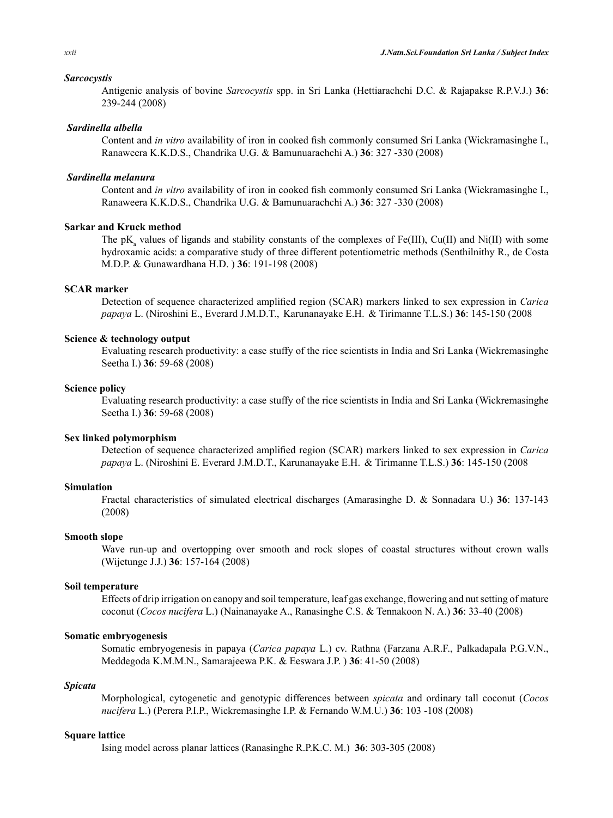#### *Sarcocystis*

Antigenic analysis of bovine *Sarcocystis* spp. in Sri Lanka (Hettiarachchi D.C. & Rajapakse R.P.V.J.) **36**: 239-244 (2008)

#### *Sardinella albella*

Content and *in vitro* availability of iron in cooked fish commonly consumed Sri Lanka (Wickramasinghe I., Ranaweera K.K.D.S., Chandrika U.G. & Bamunuarachchi A.) **36**: 327 -330 (2008)

## *Sardinella melanura*

Content and *in vitro* availability of iron in cooked fish commonly consumed Sri Lanka (Wickramasinghe I., Ranaweera K.K.D.S., Chandrika U.G. & Bamunuarachchi A.) **36**: 327 -330 (2008)

# **Sarkar and Kruck method**

The  $pK_a$  values of ligands and stability constants of the complexes of Fe(III), Cu(II) and Ni(II) with some hydroxamic acids: a comparative study of three different potentiometric methods (Senthilnithy R., de Costa M.D.P. & Gunawardhana H.D. ) **36**: 191-198 (2008)

# **SCAR marker**

Detection of sequence characterized amplified region (SCAR) markers linked to sex expression in *Carica papaya* L. (Niroshini E., Everard J.M.D.T., Karunanayake E.H. & Tirimanne T.L.S.) **36**: 145-150 (2008

## **Science & technology output**

Evaluating research productivity: a case stuffy of the rice scientists in India and Sri Lanka (Wickremasinghe Seetha I.) **36**: 59-68 (2008)

#### **Science policy**

Evaluating research productivity: a case stuffy of the rice scientists in India and Sri Lanka (Wickremasinghe Seetha I.) **36**: 59-68 (2008)

## **Sex linked polymorphism**

Detection of sequence characterized amplified region (SCAR) markers linked to sex expression in *Carica papaya* L. (Niroshini E. Everard J.M.D.T., Karunanayake E.H. & Tirimanne T.L.S.) **36**: 145-150 (2008

## **Simulation**

Fractal characteristics of simulated electrical discharges (Amarasinghe D. & Sonnadara U.) **36**: 137-143 (2008)

#### **Smooth slope**

Wave run-up and overtopping over smooth and rock slopes of coastal structures without crown walls (Wijetunge J.J.) **36**: 157-164 (2008)

#### **Soil temperature**

Effects of drip irrigation on canopy and soil temperature, leaf gas exchange, flowering and nutsetting of mature coconut (*Cocos nucifera* L.) (Nainanayake A., Ranasinghe C.S. & Tennakoon N. A.) **36**: 33-40 (2008)

# **Somatic embryogenesis**

Somatic embryogenesis in papaya (*Carica papaya* L.) cv. Rathna (Farzana A.R.F., Palkadapala P.G.V.N., Meddegoda K.M.M.N., Samarajeewa P.K. & Eeswara J.P. ) **36**: 41-50 (2008)

#### *Spicata*

Morphological, cytogenetic and genotypic differences between *spicata* and ordinary tall coconut (*Cocos nucifera* L.) (Perera P.I.P., Wickremasinghe I.P. & Fernando W.M.U.) **36**: 103 -108 (2008)

#### **Square lattice**

Ising model across planar lattices (Ranasinghe R.P.K.C. M.) **36**: 303-305 (2008)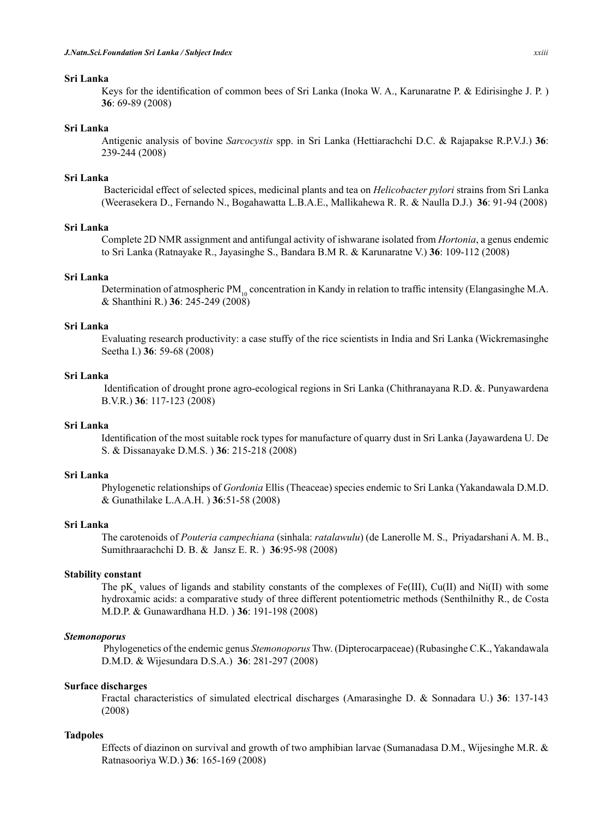## **Sri Lanka**

Keys for the identification of common bees of Sri Lanka (Inoka W. A., Karunaratne P. & Edirisinghe J. P. ) **36**: 69-89 (2008)

# **Sri Lanka**

Antigenic analysis of bovine *Sarcocystis* spp. in Sri Lanka (Hettiarachchi D.C. & Rajapakse R.P.V.J.) **36**: 239-244 (2008)

## **Sri Lanka**

Bactericidal effect of selected spices, medicinal plants and tea on *Helicobacter pylori* strains from Sri Lanka (Weerasekera D., Fernando N., Bogahawatta L.B.A.E., Mallikahewa R. R. & Naulla D.J.) **36**: 91-94 (2008)

# **Sri Lanka**

Complete 2D NMR assignment and antifungal activity of ishwarane isolated from *Hortonia*, a genus endemic to Sri Lanka (Ratnayake R., Jayasinghe S., Bandara B.M R. & Karunaratne V.) **36**: 109-112 (2008)

## **Sri Lanka**

Determination of atmospheric PM<sub>10</sub> concentration in Kandy in relation to traffic intensity (Elangasinghe M.A. & Shanthini R.) **36**: 245-249 (2008)

#### **Sri Lanka**

Evaluating research productivity: a case stuffy of the rice scientists in India and Sri Lanka (Wickremasinghe Seetha I.) **36**: 59-68 (2008)

# **Sri Lanka**

Identification of drought prone agro-ecological regions in Sri Lanka (Chithranayana R.D. &. Punyawardena B.V.R.) **36**: 117-123 (2008)

# **Sri Lanka**

Identification of the most suitable rock types for manufacture of quarry dust in Sri Lanka (Jayawardena U. De S. & Dissanayake D.M.S. ) **36**: 215-218 (2008)

## **Sri Lanka**

Phylogenetic relationships of *Gordonia* Ellis (Theaceae) species endemic to Sri Lanka (Yakandawala D.M.D. & Gunathilake L.A.A.H. ) **36**:51-58 (2008)

#### **Sri Lanka**

The carotenoids of *Pouteria campechiana* (sinhala: *ratalawulu*) (de Lanerolle M. S., Priyadarshani A. M. B., Sumithraarachchi D. B. & Jansz E. R. ) **36**:95-98 (2008)

## **Stability constant**

The  $pK_a$  values of ligands and stability constants of the complexes of Fe(III), Cu(II) and Ni(II) with some hydroxamic acids: a comparative study of three different potentiometric methods (Senthilnithy R., de Costa M.D.P. & Gunawardhana H.D. ) **36**: 191-198 (2008)

# *Stemonoporus*

Phylogenetics of the endemic genus *Stemonoporus* Thw. (Dipterocarpaceae) (Rubasinghe C.K., Yakandawala D.M.D. & Wijesundara D.S.A.) **36**: 281-297 (2008)

#### **Surface discharges**

Fractal characteristics of simulated electrical discharges (Amarasinghe D. & Sonnadara U.) **36**: 137-143 (2008)

#### **Tadpoles**

Effects of diazinon on survival and growth of two amphibian larvae (Sumanadasa D.M., Wijesinghe M.R. & Ratnasooriya W.D.) **36**: 165-169 (2008)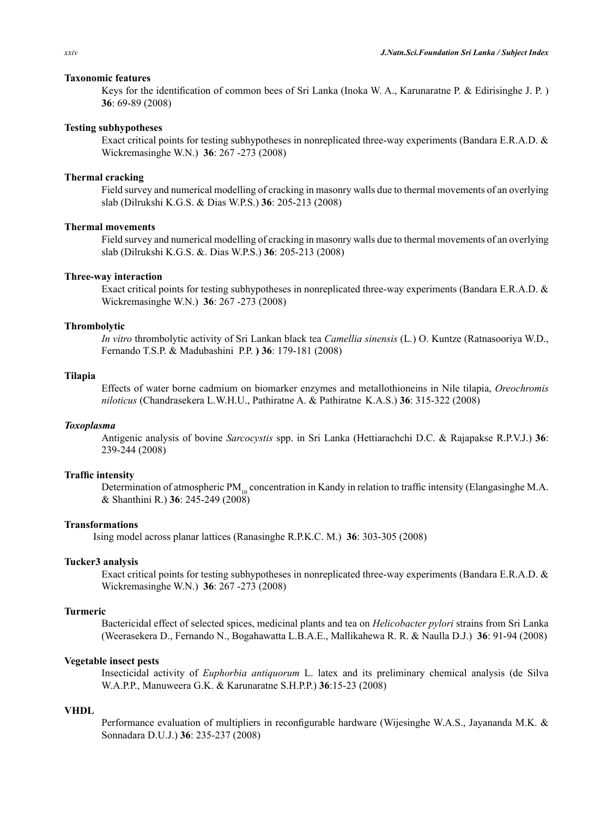## **Taxonomic features**

Keys for the identification of common bees of Sri Lanka (Inoka W. A., Karunaratne P. & Edirisinghe J. P. ) **36**: 69-89 (2008)

## **Testing subhypotheses**

Exact critical points for testing subhypotheses in nonreplicated three-way experiments (Bandara E.R.A.D. & Wickremasinghe W.N.) **36**: 267 -273 (2008)

#### **Thermal cracking**

Field survey and numerical modelling of cracking in masonry walls due to thermal movements of an overlying slab (Dilrukshi K.G.S. & Dias W.P.S.) **36**: 205-213 (2008)

# **Thermal movements**

Field survey and numerical modelling of cracking in masonry walls due to thermal movements of an overlying slab (Dilrukshi K.G.S. &. Dias W.P.S.) **36**: 205-213 (2008)

## **Three-way interaction**

Exact critical points for testing subhypotheses in nonreplicated three-way experiments (Bandara E.R.A.D. & Wickremasinghe W.N.) **36**: 267 -273 (2008)

#### **Thrombolytic**

*In vitro* thrombolytic activity of Sri Lankan black tea *Camellia sinensis* (L*.*) O. Kuntze (Ratnasooriya W.D., Fernando T.S.P. & Madubashini P.P. **) 36**: 179-181 (2008)

## **Tilapia**

Effects of water borne cadmium on biomarker enzymes and metallothioneins in Nile tilapia, *Oreochromis niloticus* (Chandrasekera L.W.H.U., Pathiratne A. & Pathiratne K.A.S.) **36**: 315-322 (2008)

## *Toxoplasma*

Antigenic analysis of bovine *Sarcocystis* spp. in Sri Lanka (Hettiarachchi D.C. & Rajapakse R.P.V.J.) **36**: 239-244 (2008)

## **Traffic intensity**

Determination of atmospheric PM<sub>10</sub> concentration in Kandy in relation to traffic intensity (Elangasinghe M.A. & Shanthini R.) **36**: 245-249 (2008)

## **Transformations**

Ising model across planar lattices (Ranasinghe R.P.K.C. M.) **36**: 303-305 (2008)

## **Tucker3 analysis**

Exact critical points for testing subhypotheses in nonreplicated three-way experiments (Bandara E.R.A.D. & Wickremasinghe W.N.) **36**: 267 -273 (2008)

# **Turmeric**

Bactericidal effect of selected spices, medicinal plants and tea on *Helicobacter pylori* strains from Sri Lanka (Weerasekera D., Fernando N., Bogahawatta L.B.A.E., Mallikahewa R. R. & Naulla D.J.) **36**: 91-94 (2008)

#### **Vegetable insect pests**

Insecticidal activity of *Euphorbia antiquorum* L. latex and its preliminary chemical analysis (de Silva W.A.P.P., Manuweera G.K. & Karunaratne S.H.P.P.) **36**:15-23 (2008)

# **VHDL**

Performance evaluation of multipliers in reconfigurable hardware (Wijesinghe W.A.S., Jayananda M.K. & Sonnadara D.U.J.) **36**: 235-237 (2008)